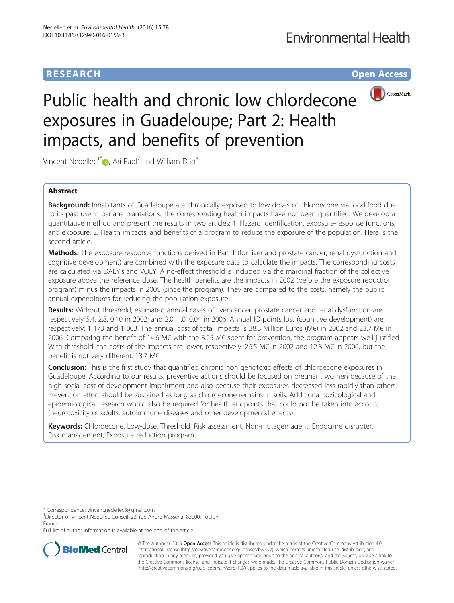# **RESEARCH RESEARCH** *CHECK CHECK CHECK CHECK CHECK CHECK CHECK CHECK CHECK CHECK CHECK CHECK CHECK CHECK CHECK CHECK CHECK CHECK CHECK CHECK CHECK CHECK CHECK CHECK CHECK CHECK CHECK CHECK CHECK CHECK CHECK CHECK CHECK*



# Public health and chronic low chlordecone exposures in Guadeloupe; Part 2: Health impacts, and benefits of prevention

Vincent Nedellec<sup>1\*</sup>  $\bullet$ [,](http://orcid.org/0000-0001-8177-4777) Ari Rabl<sup>2</sup> and William Dab<sup>3</sup>

## Abstract

**Background:** Inhabitants of Guadeloupe are chronically exposed to low doses of chlordecone via local food due to its past use in banana plantations. The corresponding health impacts have not been quantified. We develop a quantitative method and present the results in two articles: 1. Hazard identification, exposure-response functions, and exposure, 2. Health impacts, and benefits of a program to reduce the exposure of the population. Here is the second article.

Methods: The exposure-response functions derived in Part 1 (for liver and prostate cancer, renal dysfunction and cognitive development) are combined with the exposure data to calculate the impacts. The corresponding costs are calculated via DALY's and VOLY. A no-effect threshold is included via the marginal fraction of the collective exposure above the reference dose. The health benefits are the impacts in 2002 (before the exposure reduction program) minus the impacts in 2006 (since the program). They are compared to the costs, namely the public annual expenditures for reducing the population exposure.

Results: Without threshold, estimated annual cases of liver cancer, prostate cancer and renal dysfunction are respectively 5.4, 2.8, 0.10 in 2002; and 2.0, 1.0, 0.04 in 2006. Annual IQ points lost (cognitive development) are respectively: 1 173 and 1 003. The annual cost of total impacts is 38.3 Million Euros (M€) in 2002 and 23.7 M€ in 2006. Comparing the benefit of 14.6 M€ with the 3.25 M€ spent for prevention, the program appears well justified. With threshold, the costs of the impacts are lower, respectively: 26.5 M€ in 2002 and 12.8 M€ in 2006, but the benefit is not very different: 13.7 M€.

**Conclusion:** This is the first study that quantified chronic non genotoxic effects of chlordecone exposures in Guadeloupe. According to our results, preventive actions should be focused on pregnant women because of the high social cost of development impairment and also because their exposures decreased less rapidly than others. Prevention effort should be sustained as long as chlordecone remains in soils. Additional toxicological and epidemiological research would also be required for health endpoints that could not be taken into account (neurotoxicity of adults, autoimmune diseases and other developmental effects).

Keywords: Chlordecone, Low-dose, Threshold, Risk assessment, Non-mutagen agent, Endocrine disrupter, Risk management, Exposure reduction program

Full list of author information is available at the end of the article



© The Author(s). 2016 **Open Access** This article is distributed under the terms of the Creative Commons Attribution 4.0 International License [\(http://creativecommons.org/licenses/by/4.0/](http://creativecommons.org/licenses/by/4.0/)), which permits unrestricted use, distribution, and reproduction in any medium, provided you give appropriate credit to the original author(s) and the source, provide a link to the Creative Commons license, and indicate if changes were made. The Creative Commons Public Domain Dedication waiver [\(http://creativecommons.org/publicdomain/zero/1.0/](http://creativecommons.org/publicdomain/zero/1.0/)) applies to the data made available in this article, unless otherwise stated.

<sup>\*</sup> Correspondence: [vincent.nedellec3@gmail.com](mailto:vincent.nedellec3@gmail.com) <sup>1</sup>

<sup>&</sup>lt;sup>1</sup>Director of Vincent Nedellec Conseil, 23, rue André Masséna-83000, Toulon, France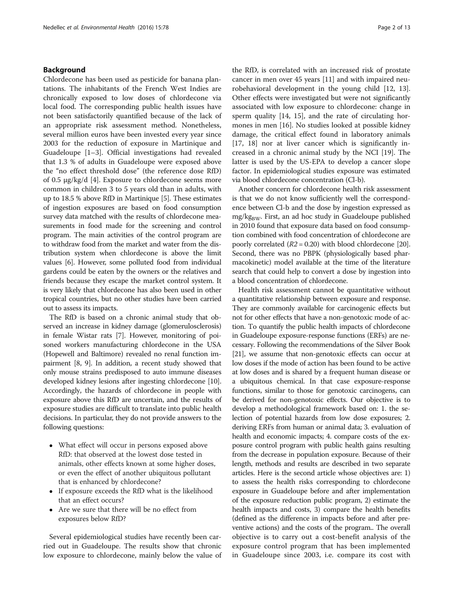#### Background

Chlordecone has been used as pesticide for banana plantations. The inhabitants of the French West Indies are chronically exposed to low doses of chlordecone via local food. The corresponding public health issues have not been satisfactorily quantified because of the lack of an appropriate risk assessment method. Nonetheless, several million euros have been invested every year since 2003 for the reduction of exposure in Martinique and Guadeloupe [\[1](#page-11-0)–[3](#page-11-0)]. Official investigations had revealed that 1.3 % of adults in Guadeloupe were exposed above the "no effect threshold dose" (the reference dose RfD) of 0.5 μg/kg/d [[4\]](#page-11-0). Exposure to chlordecone seems more common in children 3 to 5 years old than in adults, with up to 18.5 % above RfD in Martinique [\[5](#page-11-0)]. These estimates of ingestion exposures are based on food consumption survey data matched with the results of chlordecone measurements in food made for the screening and control program. The main activities of the control program are to withdraw food from the market and water from the distribution system when chlordecone is above the limit values [\[6](#page-11-0)]. However, some polluted food from individual gardens could be eaten by the owners or the relatives and friends because they escape the market control system. It is very likely that chlordecone has also been used in other tropical countries, but no other studies have been carried out to assess its impacts.

The RfD is based on a chronic animal study that observed an increase in kidney damage (glomerulosclerosis) in female Wistar rats [\[7\]](#page-11-0). However, monitoring of poisoned workers manufacturing chlordecone in the USA (Hopewell and Baltimore) revealed no renal function impairment [\[8](#page-11-0), [9](#page-11-0)]. In addition, a recent study showed that only mouse strains predisposed to auto immune diseases developed kidney lesions after ingesting chlordecone [[10](#page-11-0)]. Accordingly, the hazards of chlordecone in people with exposure above this RfD are uncertain, and the results of exposure studies are difficult to translate into public health decisions. In particular, they do not provide answers to the following questions:

- What effect will occur in persons exposed above RfD: that observed at the lowest dose tested in animals, other effects known at some higher doses, or even the effect of another ubiquitous pollutant that is enhanced by chlordecone?
- If exposure exceeds the RfD what is the likelihood that an effect occurs?
- Are we sure that there will be no effect from exposures below RfD?

Several epidemiological studies have recently been carried out in Guadeloupe. The results show that chronic low exposure to chlordecone, mainly below the value of the RfD, is correlated with an increased risk of prostate cancer in men over 45 years [\[11\]](#page-11-0) and with impaired neurobehavioral development in the young child [[12](#page-11-0), [13](#page-11-0)]. Other effects were investigated but were not significantly associated with low exposure to chlordecone: change in sperm quality [\[14](#page-11-0), [15](#page-11-0)], and the rate of circulating hormones in men [[16\]](#page-11-0). No studies looked at possible kidney damage, the critical effect found in laboratory animals [[17, 18](#page-11-0)] nor at liver cancer which is significantly increased in a chronic animal study by the NCI [[19](#page-11-0)]. The latter is used by the US-EPA to develop a cancer slope factor. In epidemiological studies exposure was estimated via blood chlordecone concentration (Cl-b).

Another concern for chlordecone health risk assessment is that we do not know sufficiently well the correspondence between Cl-b and the dose by ingestion expressed as  $mg/kg<sub>BW</sub>$ . First, an ad hoc study in Guadeloupe published in 2010 found that exposure data based on food consumption combined with food concentration of chlordecone are poorly correlated  $(R2 = 0.20)$  $(R2 = 0.20)$  $(R2 = 0.20)$  with blood chlordecone [20]. Second, there was no PBPK (physiologically based pharmacokinetic) model available at the time of the literature search that could help to convert a dose by ingestion into a blood concentration of chlordecone.

Health risk assessment cannot be quantitative without a quantitative relationship between exposure and response. They are commonly available for carcinogenic effects but not for other effects that have a non-genotoxic mode of action. To quantify the public health impacts of chlordecone in Guadeloupe exposure-response functions (ERFs) are necessary. Following the recommendations of the Silver Book [[21](#page-11-0)], we assume that non-genotoxic effects can occur at low doses if the mode of action has been found to be active at low doses and is shared by a frequent human disease or a ubiquitous chemical. In that case exposure-response functions, similar to those for genotoxic carcinogens, can be derived for non-genotoxic effects. Our objective is to develop a methodological framework based on: 1. the selection of potential hazards from low dose exposures; 2. deriving ERFs from human or animal data; 3. evaluation of health and economic impacts; 4. compare costs of the exposure control program with public health gains resulting from the decrease in population exposure. Because of their length, methods and results are described in two separate articles. Here is the second article whose objectives are: 1) to assess the health risks corresponding to chlordecone exposure in Guadeloupe before and after implementation of the exposure reduction public program, 2) estimate the health impacts and costs, 3) compare the health benefits (defined as the difference in impacts before and after preventive actions) and the costs of the program.. The overall objective is to carry out a cost-benefit analysis of the exposure control program that has been implemented in Guadeloupe since 2003, i.e. compare its cost with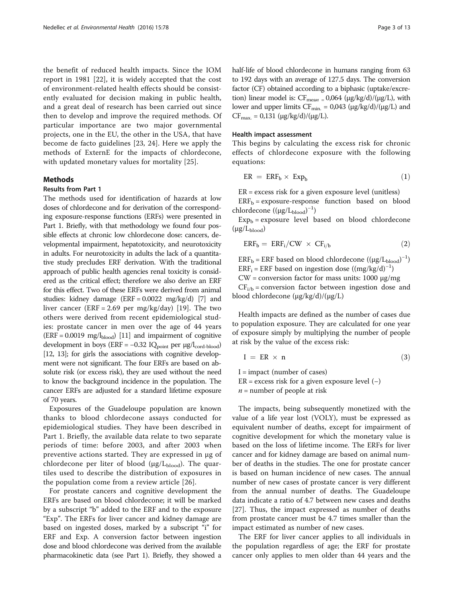<span id="page-2-0"></span>the benefit of reduced health impacts. Since the IOM report in 1981 [[22\]](#page-11-0), it is widely accepted that the cost of environment-related health effects should be consistently evaluated for decision making in public health, and a great deal of research has been carried out since then to develop and improve the required methods. Of particular importance are two major governmental projects, one in the EU, the other in the USA, that have become de facto guidelines [\[23](#page-11-0), [24\]](#page-11-0). Here we apply the methods of ExternE for the impacts of chlordecone, with updated monetary values for mortality [[25\]](#page-11-0).

#### Methods

#### Results from Part 1

The methods used for identification of hazards at low doses of chlordecone and for derivation of the corresponding exposure-response functions (ERFs) were presented in Part 1. Briefly, with that methodology we found four possible effects at chronic low chlordecone dose: cancers, developmental impairment, hepatotoxicity, and neurotoxicity in adults. For neurotoxicity in adults the lack of a quantitative study precludes ERF derivation. With the traditional approach of public health agencies renal toxicity is considered as the critical effect; therefore we also derive an ERF for this effect. Two of these ERFs were derived from animal studies: kidney damage  $(ERF = 0.0022 \text{ mg/kg/d})$  [[7](#page-11-0)] and liver cancer (ERF = 2.69 per mg/kg/day) [[19](#page-11-0)]. The two others were derived from recent epidemiological studies: prostate cancer in men over the age of 44 years  $(ERF = 0.0019 \text{ mg/l}_{\text{blood}})$  [\[11\]](#page-11-0) and impairment of cognitive development in boys (ERF =  $-0.32$  IQ<sub>point</sub> per  $\mu$ g/l<sub>cord-blood</sub>) [[12](#page-11-0), [13\]](#page-11-0); for girls the associations with cognitive development were not significant. The four ERFs are based on absolute risk (or excess risk), they are used without the need to know the background incidence in the population. The cancer ERFs are adjusted for a standard lifetime exposure of 70 years.

Exposures of the Guadeloupe population are known thanks to blood chlordecone assays conducted for epidemiological studies. They have been described in Part 1. Briefly, the available data relate to two separate periods of time: before 2003, and after 2003 when preventive actions started. They are expressed in μg of chlordecone per liter of blood ( $\mu$ g/L<sub>blood</sub>). The quartiles used to describe the distribution of exposures in the population come from a review article [[26](#page-11-0)].

For prostate cancers and cognitive development the ERFs are based on blood chlordecone; it will be marked by a subscript "b" added to the ERF and to the exposure "Exp". The ERFs for liver cancer and kidney damage are based on ingested doses, marked by a subscript "i" for ERF and Exp. A conversion factor between ingestion dose and blood chlordecone was derived from the available pharmacokinetic data (see Part 1). Briefly, they showed a half-life of blood chlordecone in humans ranging from 63 to 192 days with an average of 127.5 days. The conversion factor (CF) obtained according to a biphasic (uptake/excretion) linear model is:  $CF_{mean} = 0.064$  (μg/kg/d)/(μg/L), with lower and upper limits  $CF_{min.} = 0.043 (\mu g / kg/d) / (\mu g / L)$  and  $CF_{\text{max.}} = 0.131 \ (\mu g/kg/d)/(\mu g/L).$ 

#### Health impact assessment

This begins by calculating the excess risk for chronic effects of chlordecone exposure with the following equations:

$$
ER = ERF_b \times Exp_b \tag{1}
$$

ER = excess risk for a given exposure level (unitless)

 $ERF_b =$  exposure-response function based on blood chlordecone  $((\mu g/L_{\rm blood})^{-1})$ 

 $Exp_b =$  exposure level based on blood chlordecone  $(\mu g/L_{\text{blood}})$ 

$$
ERF_b = ERF_i/CW \times CF_{i/b} \tag{2}
$$

 $ERF_b = ERF$  based on blood chlordecone  $((\mu g/L_{blood})^{-1})$  $ERF_i = ERF$  based on ingestion dose  $((mg/kg/d)^{-1})$ 

CW = conversion factor for mass units: 1000 μg/mg

 $CF<sub>i/b</sub> = conversion factor between ingestion dose and$ blood chlordecone (μg/kg/d)/(μg/L)

Health impacts are defined as the number of cases due to population exposure. They are calculated for one year of exposure simply by multiplying the number of people at risk by the value of the excess risk:

$$
I = ER \times n \tag{3}
$$

 $I =$  impact (number of cases)  $ER =$  excess risk for a given exposure level  $(-)$  $n =$  number of people at risk

The impacts, being subsequently monetized with the value of a life year lost (VOLY), must be expressed as equivalent number of deaths, except for impairment of cognitive development for which the monetary value is based on the loss of lifetime income. The ERFs for liver cancer and for kidney damage are based on animal number of deaths in the studies. The one for prostate cancer is based on human incidence of new cases. The annual number of new cases of prostate cancer is very different from the annual number of deaths. The Guadeloupe data indicate a ratio of 4.7 between new cases and deaths [[27\]](#page-11-0). Thus, the impact expressed as number of deaths from prostate cancer must be 4.7 times smaller than the impact estimated as number of new cases.

The ERF for liver cancer applies to all individuals in the population regardless of age; the ERF for prostate cancer only applies to men older than 44 years and the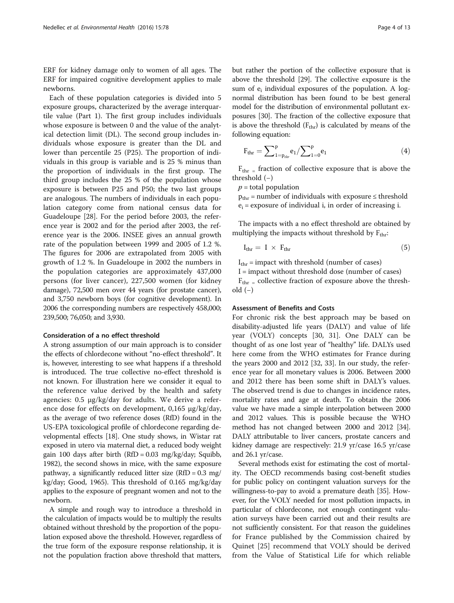ERF for kidney damage only to women of all ages. The ERF for impaired cognitive development applies to male newborns.

Each of these population categories is divided into 5 exposure groups, characterized by the average interquartile value (Part 1). The first group includes individuals whose exposure is between 0 and the value of the analytical detection limit (DL). The second group includes individuals whose exposure is greater than the DL and lower than percentile 25 (P25). The proportion of individuals in this group is variable and is 25 % minus than the proportion of individuals in the first group. The third group includes the 25 % of the population whose exposure is between P25 and P50; the two last groups are analogous. The numbers of individuals in each population category come from national census data for Guadeloupe [[28\]](#page-11-0). For the period before 2003, the reference year is 2002 and for the period after 2003, the reference year is the 2006. INSEE gives an annual growth rate of the population between 1999 and 2005 of 1.2 %. The figures for 2006 are extrapolated from 2005 with growth of 1.2 %. In Guadeloupe in 2002 the numbers in the population categories are approximately 437,000 persons (for liver cancer), 227,500 women (for kidney damage), 72,500 men over 44 years (for prostate cancer), and 3,750 newborn boys (for cognitive development). In 2006 the corresponding numbers are respectively 458,000; 239,500; 76,050; and 3,930.

#### Consideration of a no effect threshold

A strong assumption of our main approach is to consider the effects of chlordecone without "no-effect threshold". It is, however, interesting to see what happens if a threshold is introduced. The true collective no-effect threshold is not known. For illustration here we consider it equal to the reference value derived by the health and safety agencies: 0.5 μg/kg/day for adults. We derive a reference dose for effects on development, 0,165 μg/kg/day, as the average of two reference doses (RfD) found in the US-EPA toxicological profile of chlordecone regarding developmental effects [[18](#page-11-0)]. One study shows, in Wistar rat exposed in utero via maternal diet, a reduced body weight gain 100 days after birth (RfD = 0.03 mg/kg/day; Squibb, 1982), the second shows in mice, with the same exposure pathway, a significantly reduced litter size  $(RfD = 0.3$  mg/ kg/day; Good, 1965). This threshold of 0.165 mg/kg/day applies to the exposure of pregnant women and not to the newborn.

A simple and rough way to introduce a threshold in the calculation of impacts would be to multiply the results obtained without threshold by the proportion of the population exposed above the threshold. However, regardless of the true form of the exposure response relationship, it is not the population fraction above threshold that matters, but rather the portion of the collective exposure that is above the threshold [\[29\]](#page-11-0). The collective exposure is the sum of  $e_i$  individual exposures of the population. A lognormal distribution has been found to be best general model for the distribution of environmental pollutant exposures [\[30\]](#page-11-0). The fraction of the collective exposure that is above the threshold  $(F_{thr})$  is calculated by means of the following equation:

$$
F_{thr} = \sum_{1=p_{thr}}^{p} e_1 / \sum_{1=0}^{p} e_1
$$
 (4)

 $F_{thr}$  = fraction of collective exposure that is above the threshold (−)

 $p =$  total population

 $p_{thr}$  = number of individuals with exposure  $\leq$  threshold  $e_i$  = exposure of individual i, in order of increasing i.

The impacts with a no effect threshold are obtained by multiplying the impacts without threshold by  $F_{thr}$ :

$$
I_{thr} = I \times F_{thr} \tag{5}
$$

 $I_{thr}$  = impact with threshold (number of cases)

I = impact without threshold dose (number of cases)

 $F_{thr}$  = collective fraction of exposure above the threshold (−)

#### Assessment of Benefits and Costs

For chronic risk the best approach may be based on disability-adjusted life years (DALY) and value of life year (VOLY) concepts [[30, 31](#page-11-0)]. One DALY can be thought of as one lost year of "healthy" life. DALYs used here come from the WHO estimates for France during the years 2000 and 2012 [\[32, 33\]](#page-11-0). In our study, the reference year for all monetary values is 2006. Between 2000 and 2012 there has been some shift in DALY's values. The observed trend is due to changes in incidence rates, mortality rates and age at death. To obtain the 2006 value we have made a simple interpolation between 2000 and 2012 values. This is possible because the WHO method has not changed between 2000 and 2012 [[34](#page-11-0)]. DALY attributable to liver cancers, prostate cancers and kidney damage are respectively: 21.9 yr/case 16.5 yr/case and 26.1 yr/case.

Several methods exist for estimating the cost of mortality. The OECD recommends basing cost-benefit studies for public policy on contingent valuation surveys for the willingness-to-pay to avoid a premature death [[35](#page-11-0)]. However, for the VOLY needed for most pollution impacts, in particular of chlordecone, not enough contingent valuation surveys have been carried out and their results are not sufficiently consistent. For that reason the guidelines for France published by the Commission chaired by Quinet [\[25](#page-11-0)] recommend that VOLY should be derived from the Value of Statistical Life for which reliable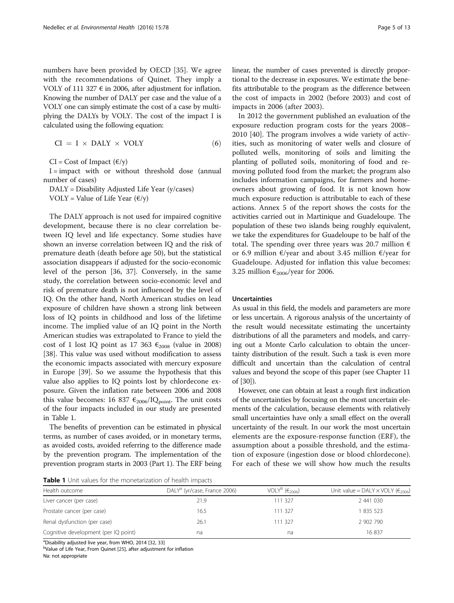<span id="page-4-0"></span>numbers have been provided by OECD [[35](#page-11-0)]. We agree with the recommendations of Quinet. They imply a VOLY of 111 327  $\epsilon$  in 2006, after adjustment for inflation. Knowing the number of DALY per case and the value of a VOLY one can simply estimate the cost of a case by multiplying the DALYs by VOLY. The cost of the impact I is calculated using the following equation:

$$
CI = I \times DALY \times VOLY \tag{6}
$$

 $CI = Cost of Impact (\mathcal{E}/y)$ 

 $I =$  impact with or without threshold dose (annual number of cases)

DALY = Disability Adjusted Life Year (y/cases)

VOLY = Value of Life Year  $(\epsilon/y)$ 

The DALY approach is not used for impaired cognitive development, because there is no clear correlation between IQ level and life expectancy. Some studies have shown an inverse correlation between IQ and the risk of premature death (death before age 50), but the statistical association disappears if adjusted for the socio-economic level of the person [\[36, 37](#page-11-0)]. Conversely, in the same study, the correlation between socio-economic level and risk of premature death is not influenced by the level of IQ. On the other hand, North American studies on lead exposure of children have shown a strong link between loss of IQ points in childhood and loss of the lifetime income. The implied value of an IQ point in the North American studies was extrapolated to France to yield the cost of 1 lost IQ point as 17 363  $\epsilon_{2008}$  (value in 2008) [[38\]](#page-11-0). This value was used without modification to assess the economic impacts associated with mercury exposure in Europe [[39\]](#page-12-0). So we assume the hypothesis that this value also applies to IQ points lost by chlordecone exposure. Given the inflation rate between 2006 and 2008 this value becomes: 16 837  $\epsilon_{2006}$ /IQ<sub>point</sub>. The unit costs of the four impacts included in our study are presented in Table 1.

The benefits of prevention can be estimated in physical terms, as number of cases avoided, or in monetary terms, as avoided costs, avoided referring to the difference made by the prevention program. The implementation of the prevention program starts in 2003 (Part 1). The ERF being linear, the number of cases prevented is directly proportional to the decrease in exposures. We estimate the benefits attributable to the program as the difference between the cost of impacts in 2002 (before 2003) and cost of impacts in 2006 (after 2003).

In 2012 the government published an evaluation of the exposure reduction program costs for the years 2008– 2010 [[40\]](#page-12-0). The program involves a wide variety of activities, such as monitoring of water wells and closure of polluted wells, monitoring of soils and limiting the planting of polluted soils, monitoring of food and removing polluted food from the market; the program also includes information campaigns, for farmers and homeowners about growing of food. It is not known how much exposure reduction is attributable to each of these actions. Annex 5 of the report shows the costs for the activities carried out in Martinique and Guadeloupe. The population of these two islands being roughly equivalent, we take the expenditures for Guadeloupe to be half of the total. The spending over three years was 20.7 million  $\epsilon$ or 6.9 million €/year and about 3.45 million €/year for Guadeloupe. Adjusted for inflation this value becomes: 3.25 million  $\epsilon_{2006}$ /year for 2006.

#### Uncertainties

As usual in this field, the models and parameters are more or less uncertain. A rigorous analysis of the uncertainty of the result would necessitate estimating the uncertainty distributions of all the parameters and models, and carrying out a Monte Carlo calculation to obtain the uncertainty distribution of the result. Such a task is even more difficult and uncertain than the calculation of central values and beyond the scope of this paper (see Chapter 11 of [\[30\]](#page-11-0)).

However, one can obtain at least a rough first indication of the uncertainties by focusing on the most uncertain elements of the calculation, because elements with relatively small uncertainties have only a small effect on the overall uncertainty of the result. In our work the most uncertain elements are the exposure-response function (ERF), the assumption about a possible threshold, and the estimation of exposure (ingestion dose or blood chlordecone). For each of these we will show how much the results

**Table 1** Unit values for the monetarization of health impacts

| Health outcome                       | DALY <sup>a</sup> (yr/case, France 2006) | VOLY <sup>b</sup> $(\epsilon_{2006})$ | Unit value = DALY $\times$ VOLY ( $\epsilon_{2006}$ ) |
|--------------------------------------|------------------------------------------|---------------------------------------|-------------------------------------------------------|
| Liver cancer (per case)              | 21.9                                     | 111 327                               | 2 441 030                                             |
| Prostate cancer (per case)           | 16.5                                     | 111 327                               | 1835 523                                              |
| Renal dysfunction (per case)         | 26.1                                     | 111 327                               | 2 902 790                                             |
| Cognitive development (per IQ point) | na                                       | na                                    | 16837                                                 |

<sup>a</sup> Disability adjusted live year, from WHO, 2014 [[32,](#page-11-0) [33](#page-11-0)]<br><sup>b</sup> Value of Life Year, From Quipet [25] after adjustment

<sup>b</sup>Value of Life Year, From Quinet [\[25](#page-11-0)], after adjustment for inflation

Na: not appropriate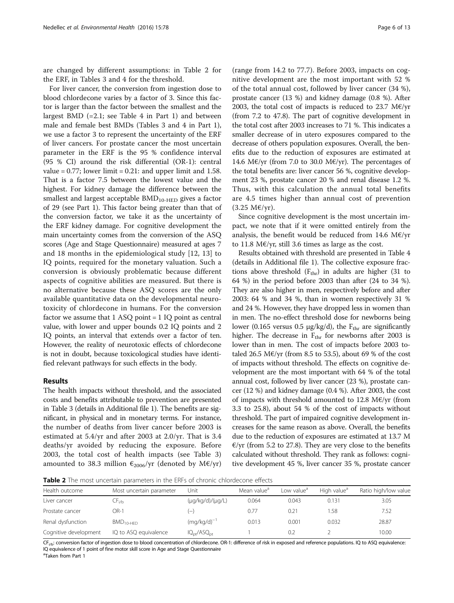<span id="page-5-0"></span>are changed by different assumptions: in Table 2 for the ERF, in Tables [3](#page-6-0) and [4](#page-7-0) for the threshold.

For liver cancer, the conversion from ingestion dose to blood chlordecone varies by a factor of 3. Since this factor is larger than the factor between the smallest and the largest BMD  $(=2.1;$  see Table [4](#page-7-0) in Part 1) and between male and female best BMDs (Tables [3](#page-6-0) and [4](#page-7-0) in Part 1), we use a factor 3 to represent the uncertainty of the ERF of liver cancers. For prostate cancer the most uncertain parameter in the ERF is the 95 % confidence interval (95 % CI) around the risk differential (OR-1): central value =  $0.77$ ; lower limit =  $0.21$ : and upper limit and 1.58. That is a factor 7.5 between the lowest value and the highest. For kidney damage the difference between the smallest and largest acceptable  $BMD_{10-HED}$  gives a factor of 29 (see Part 1). This factor being greater than that of the conversion factor, we take it as the uncertainty of the ERF kidney damage. For cognitive development the main uncertainty comes from the conversion of the ASQ scores (Age and Stage Questionnaire) measured at ages 7 and 18 months in the epidemiological study [[12, 13\]](#page-11-0) to IQ points, required for the monetary valuation. Such a conversion is obviously problematic because different aspects of cognitive abilities are measured. But there is no alternative because these ASQ scores are the only available quantitative data on the developmental neurotoxicity of chlordecone in humans. For the conversion factor we assume that  $1$  ASQ point =  $1$  IQ point as central value, with lower and upper bounds 0.2 IQ points and 2 IQ points, an interval that extends over a factor of ten. However, the reality of neurotoxic effects of chlordecone is not in doubt, because toxicological studies have identified relevant pathways for such effects in the body.

#### Results

The health impacts without threshold, and the associated costs and benefits attributable to prevention are presented in Table [3](#page-6-0) (details in Additional file [1\)](#page-10-0). The benefits are significant, in physical and in monetary terms. For instance, the number of deaths from liver cancer before 2003 is estimated at 5.4/yr and after 2003 at 2.0/yr. That is 3.4 deaths/yr avoided by reducing the exposure. Before 2003, the total cost of health impacts (see Table [3](#page-6-0)) amounted to 38.3 million  $\epsilon_{2006}/yr$  (denoted by M $\epsilon$ /yr)

(range from 14.2 to 77.7). Before 2003, impacts on cognitive development are the most important with 52 % of the total annual cost, followed by liver cancer (34 %), prostate cancer (13 %) and kidney damage (0.8 %). After 2003, the total cost of impacts is reduced to 23.7 M€/yr (from 7.2 to 47.8). The part of cognitive development in the total cost after 2003 increases to 71 %. This indicates a smaller decrease of in utero exposures compared to the decrease of others population exposures. Overall, the benefits due to the reduction of exposures are estimated at 14.6 M€/yr (from 7.0 to 30.0 M€/yr). The percentages of the total benefits are: liver cancer 56 %, cognitive development 23 %, prostate cancer 20 % and renal disease 1.2 %. Thus, with this calculation the annual total benefits are 4.5 times higher than annual cost of prevention  $(3.25 \text{ M}\text{E/yr}).$ 

Since cognitive development is the most uncertain impact, we note that if it were omitted entirely from the analysis, the benefit would be reduced from 14.6 M $E/yr$ to 11.8 M€/yr, still 3.6 times as large as the cost.

Results obtained with threshold are presented in Table [4](#page-7-0) (details in Additional file [1](#page-10-0)). The collective exposure fractions above threshold  $(F_{thr})$  in adults are higher (31 to 64 %) in the period before 2003 than after (24 to 34 %). They are also higher in men, respectively before and after 2003: 64 % and 34 %, than in women respectively 31 % and 24 %. However, they have dropped less in women than in men. The no-effect threshold dose for newborns being lower (0.165 versus 0.5  $\mu$ g/kg/d), the F<sub>thr</sub> are significantly higher. The decrease in  $F_{thr}$  for newborns after 2003 is lower than in men. The cost of impacts before 2003 totaled 26.5 M€/yr (from 8.5 to 53.5), about 69 % of the cost of impacts without threshold. The effects on cognitive development are the most important with 64 % of the total annual cost, followed by liver cancer (23 %), prostate cancer (12 %) and kidney damage (0.4 %). After 2003, the cost of impacts with threshold amounted to 12.8 M€/yr (from 3.3 to 25.8), about 54 % of the cost of impacts without threshold. The part of impaired cognitive development increases for the same reason as above. Overall, the benefits due to the reduction of exposures are estimated at 13.7 M  $E/\gamma r$  (from 5.2 to 27.8). They are very close to the benefits calculated without threshold. They rank as follows: cognitive development 45 %, liver cancer 35 %, prostate cancer

**Table 2** The most uncertain parameters in the ERFs of chronic chlordecone effects

| Most uncertain parameter | Unit                     | Mean value <sup>a</sup> | Low value <sup>a</sup> | High value <sup>a</sup> | Ratio high/low value |
|--------------------------|--------------------------|-------------------------|------------------------|-------------------------|----------------------|
| ∟⊦ <sub>i∕b</sub>        | $(\mu q/kg/d)/(\mu q/L)$ | 0.064                   | 0.043                  | 0.131                   | 3.05                 |
| OR-1                     | $(-)$                    | 0.77                    | 0.21                   | .58                     | 7.52                 |
| $BMD_{10-HFD}$           | $(mq/kg/d)^{-1}$         | 0.013                   | 0.001                  | 0.032                   | 28.87                |
| IQ to ASQ equivalence    | $IQ_{pt}/ASQ_{pt}$       |                         | 0.2                    |                         | 10.00                |
|                          |                          |                         |                        |                         |                      |

CF<sub>i/b</sub>: conversion factor of ingestion dose to blood concentration of chlordecone. OR-1: difference of risk in exposed and reference populations. IQ to ASQ equivalence: IQ equivalence of 1 point of fine motor skill score in Age and Stage Questionnaire

a Taken from Part 1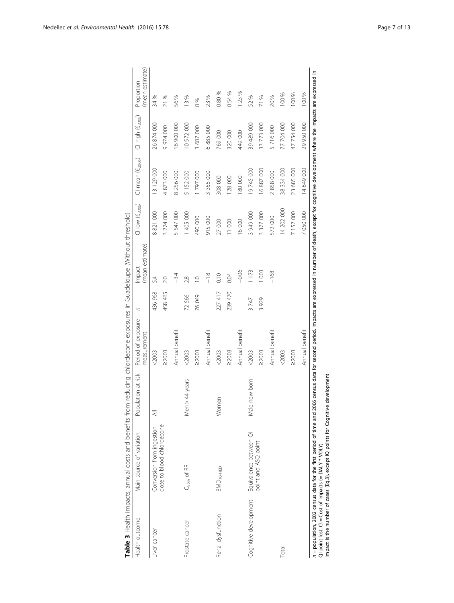<span id="page-6-0"></span>

|                                                                                     | Table 3 Health impacts, annual costs and benefits from reducing chlordecone exposures in Guadeloupe (Without threshold)                                                                                             |                          |                                   |         |                           |                                             |                                 |                              |                               |
|-------------------------------------------------------------------------------------|---------------------------------------------------------------------------------------------------------------------------------------------------------------------------------------------------------------------|--------------------------|-----------------------------------|---------|---------------------------|---------------------------------------------|---------------------------------|------------------------------|-------------------------------|
| Health outcome                                                                      | Main source of variation                                                                                                                                                                                            | Population at risk       | Period of exposure<br>measurement | C       | (mean estimate)<br>Impact | $\text{\sf Cl}$ low $(\text{\sf f}_{2006})$ | $Cl$ mean ( $\epsilon_{2006}$ ) | Cl high (€ <sub>2006</sub> ) | (mean estimate)<br>Proportion |
| Liver cancer                                                                        | Conversion from ingestion                                                                                                                                                                                           | $\overline{\overline{}}$ | < 2003                            | 436 968 | 54                        | 8821000                                     | 13 129 000                      | 26874000                     | 34 %                          |
|                                                                                     | dose to blood chlordecone                                                                                                                                                                                           |                          | 22003                             | 458 465 | 2.0                       | 3 274 000                                   | 4873000                         | 9974000                      | 21 %                          |
|                                                                                     |                                                                                                                                                                                                                     |                          | Annual benefit                    |         | $-3.4$                    | 5 547 000                                   | 8 256 000                       | 16900000                     | 56%                           |
| Prostate cancer                                                                     | IC <sub>95%</sub> of RR                                                                                                                                                                                             | Men > 44 years           | < 2003                            | 72566   | 2.8                       | 1 405 000                                   | 5 152 000                       | 10572000                     | 13%                           |
|                                                                                     |                                                                                                                                                                                                                     |                          | 22003                             | P6049   | $\supseteq$               | 490 000                                     | 1797000                         | 3 687 000                    | 8%                            |
|                                                                                     |                                                                                                                                                                                                                     |                          | Annual benefit                    |         | $-1.8$                    | 915000                                      | 3 3 5 000                       | 6885000                      | 23 %                          |
| Renal dysfunction                                                                   | BMD <sub>10</sub> -HED                                                                                                                                                                                              | Women                    | $<$ 2003                          | 227 417 | 0.10                      | 27000                                       | 308 000                         | 769 000                      | 0.80 %                        |
|                                                                                     |                                                                                                                                                                                                                     |                          | $\geq$ 2003                       | 239 470 | 0.04                      | 11000                                       | 128 000                         | 320 000                      | 0.54%                         |
|                                                                                     |                                                                                                                                                                                                                     |                          | Annual benefit                    |         | $-0.06$                   | 16000                                       | 180 000                         | 449000                       | 1.23%                         |
| Cognitive development                                                               | Equivalence between QI                                                                                                                                                                                              | Male new born            | $<$ 2003                          | 3747    | 1 173                     | 3 949 000                                   | 19 745 000                      | 39489000                     | 52%                           |
|                                                                                     | point and ASQ point                                                                                                                                                                                                 |                          | 22003                             | 3929    | 1003                      | 3 377 000                                   | 16 887 000                      | 33 773 000                   | 71%                           |
|                                                                                     |                                                                                                                                                                                                                     |                          | Annual benefit                    |         | $-168$                    | 572000                                      | 2858000                         | 5716000                      | 20%                           |
| Total                                                                               |                                                                                                                                                                                                                     |                          | < 2003                            |         |                           | 14 202 000                                  | 38 334 000                      | 77 704 000                   | 100%                          |
|                                                                                     |                                                                                                                                                                                                                     |                          | 22003                             |         |                           | 7 152 000                                   | 23 685 000                      | 47 754 000                   | 100 %                         |
|                                                                                     |                                                                                                                                                                                                                     |                          | Annual benefit                    |         |                           | 7 050 000                                   | 14 649 000                      | 29 950 000                   | 100%                          |
| S ICI * * > I * * > I < # C = I = { + t ( ) = L = { + t ( ) = L = L = L = L = L = L | n = population, 2002 census data for the first period of time and 2006 census data for second period. Impacts are expressed in number of death, except for cognitive development where the impacts are expressed in |                          |                                   |         |                           |                                             |                                 |                              |                               |

QI point lost. CI = Cost of Impacts (= DALY \* VOLY)<br>Impact is the number of cases (Eq.3), except IQ points for Cognitive development Impact is the number of cases (Eq.3), except IQ points for Cognitive development QI point lost.  $CI = Cost$  of Impacts  $(= DALY * VOLY)$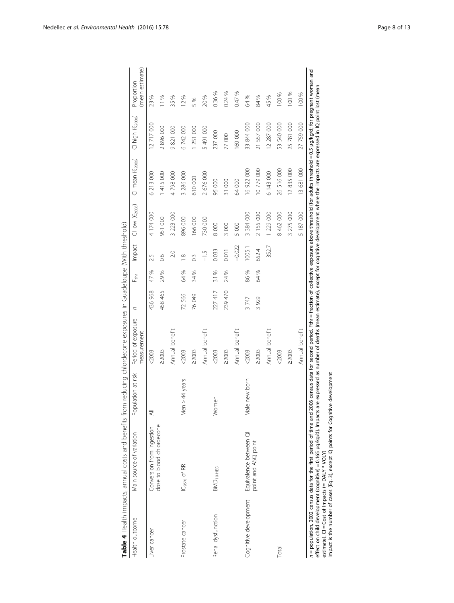|                       | Table 4 Health impacts, annual costs and benefits from reducing chlordecone exposures in Guadeloupe (With threshold)                                                                                                                                                                                                                                                                                                                     |                    |                                   |         |          |                  |                              |                               |                              |                               |
|-----------------------|------------------------------------------------------------------------------------------------------------------------------------------------------------------------------------------------------------------------------------------------------------------------------------------------------------------------------------------------------------------------------------------------------------------------------------------|--------------------|-----------------------------------|---------|----------|------------------|------------------------------|-------------------------------|------------------------------|-------------------------------|
| Health outcome        | Main source of variation                                                                                                                                                                                                                                                                                                                                                                                                                 | Population at risk | Period of exposure<br>measurement | C       | ᅾ        | Impact           | $Cl$ low $(\epsilon_{2006})$ | $Cl$ mean $(\epsilon_{2006})$ | Cl high (€ <sub>2006</sub> ) | (mean estimate)<br>Proportion |
| Liver cancer          | Conversion from ingestion                                                                                                                                                                                                                                                                                                                                                                                                                | ₹                  | < 2003                            | 436 968 | S,<br>47 | 2.5              | 4 174 000                    | 6 213 000                     | 12 717 000                   | 23 %                          |
|                       | dose to blood chlordecone                                                                                                                                                                                                                                                                                                                                                                                                                |                    | 22003                             | 458 465 | 29%      | $\frac{6}{1}$    | 951 000                      | 415 000                       | 2896000                      | 11%                           |
|                       |                                                                                                                                                                                                                                                                                                                                                                                                                                          |                    | Annual benefit                    |         |          | $-2.0$           | 3 223 000                    | 4798000                       | 9821000                      | 35%                           |
| Prostate cancer       | IC <sub>95%</sub> of RR                                                                                                                                                                                                                                                                                                                                                                                                                  | Men $>44$ years    | $<$ 2003                          | 72566   | 64 %     | $\infty$         | 896000                       | 3 286 000                     | 6742000                      | 12%                           |
|                       |                                                                                                                                                                                                                                                                                                                                                                                                                                          |                    | 22003                             | 76 049  | 34%      | $0.\overline{3}$ | 166000                       | 610000                        | 1 251 000                    | 5 %                           |
|                       |                                                                                                                                                                                                                                                                                                                                                                                                                                          |                    | Annual benefit                    |         |          | $-1.5$           | 730000                       | 2 676 000                     | 5491000                      | 20%                           |
| Renal dysfunction     | BMD <sub>10-HED</sub>                                                                                                                                                                                                                                                                                                                                                                                                                    | Women              | $<$ 2003                          | 227 417 | 31%      | 0.033            | 8000                         | 95000                         | 237 000                      | 0.36%                         |
|                       |                                                                                                                                                                                                                                                                                                                                                                                                                                          |                    | 22003                             | 239470  | 24%      | 0.011            | 3000                         | 31000                         | 77 000                       | 0.24%                         |
|                       |                                                                                                                                                                                                                                                                                                                                                                                                                                          |                    | Annual benefit                    |         |          | $-0.022$         | 5 000                        | 64000                         | 160000                       | 0.47%                         |
| Cognitive development | Equivalence between QI                                                                                                                                                                                                                                                                                                                                                                                                                   | le new born<br>ξ   | $<$ 2003                          | 3747    | S,<br>86 | 005.1            | 3 384 000                    | 16 922 000                    | 33 844 000                   | 64%                           |
|                       | point and ASQ point                                                                                                                                                                                                                                                                                                                                                                                                                      |                    | 22003                             | 3929    | S,<br>8  | 652.4            | 2 155 000                    | 10779000                      | 557000<br>$\overline{21}$    | 84%                           |
|                       |                                                                                                                                                                                                                                                                                                                                                                                                                                          |                    | Annual benefit                    |         |          | $-352.7$         | 1 229 000                    | 6 143 000                     | 12 287 000                   | 45%                           |
| Total                 |                                                                                                                                                                                                                                                                                                                                                                                                                                          |                    | $<$ 2003                          |         |          |                  | 8 462 000                    | 26516000                      | 53 540 000                   | 100 %                         |
|                       |                                                                                                                                                                                                                                                                                                                                                                                                                                          |                    | 22003                             |         |          |                  | 3 275 000                    | 12835000                      | 25 781 000                   | 100 %                         |
|                       |                                                                                                                                                                                                                                                                                                                                                                                                                                          |                    | Annual benefit                    |         |          |                  | 5 187 000                    | 13 681 000                    | 27 759 000                   | 100 %                         |
|                       | n = population, 2002 census data for the first period of time and 2006 census data for second period. Fthr = fraction of collective exposure above threshold (for adults threshold = 0.5 µg/kg/d; for pregnant woman and<br>effect on child development (cognitive) = 0.165 µg/kg/d). Impacts are expressed as number of deaths (mean estimate), except for cognitive development where the impacts are expressed in IQ point lost (mean |                    |                                   |         |          |                  |                              |                               |                              |                               |

estmate).  $CI = Cost$  of Impacts  $(= DAY * VOLY)$ <br>Impact is the number of cases (Eq. 3), except IQ points for Cognitive development Impact is the number of cases (Eq. [3](#page-2-0)), except IQ points for Cognitive development estimate).  $Cl = Cost$  of Impacts  $(= DALY * VOLY)$ 

<span id="page-7-0"></span>Nedellec et al. Environmental Health (2016) 15:78 Page 8 of 13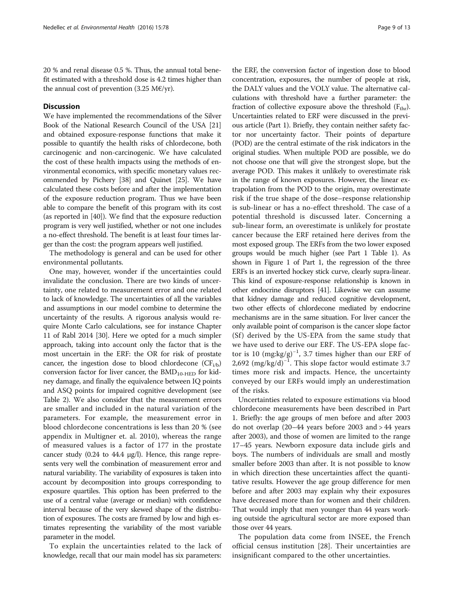20 % and renal disease 0.5 %. Thus, the annual total benefit estimated with a threshold dose is 4.2 times higher than the annual cost of prevention (3.25 M€/yr).

#### **Discussion**

We have implemented the recommendations of the Silver Book of the National Research Council of the USA [[21](#page-11-0)] and obtained exposure-response functions that make it possible to quantify the health risks of chlordecone, both carcinogenic and non-carcinogenic. We have calculated the cost of these health impacts using the methods of environmental economics, with specific monetary values recommended by Pichery [\[38\]](#page-11-0) and Quinet [\[25\]](#page-11-0). We have calculated these costs before and after the implementation of the exposure reduction program. Thus we have been able to compare the benefit of this program with its cost (as reported in [\[40\]](#page-12-0)). We find that the exposure reduction program is very well justified, whether or not one includes a no-effect threshold. The benefit is at least four times larger than the cost: the program appears well justified.

The methodology is general and can be used for other environmental pollutants.

One may, however, wonder if the uncertainties could invalidate the conclusion. There are two kinds of uncertainty, one related to measurement error and one related to lack of knowledge. The uncertainties of all the variables and assumptions in our model combine to determine the uncertainty of the results. A rigorous analysis would require Monte Carlo calculations, see for instance Chapter 11 of Rabl 2014 [[30](#page-11-0)]. Here we opted for a much simpler approach, taking into account only the factor that is the most uncertain in the ERF: the OR for risk of prostate cancer, the ingestion dose to blood chlordecone  $(CF_{i/b})$ conversion factor for liver cancer, the  $BMD_{10-HED}$  for kidney damage, and finally the equivalence between IQ points and ASQ points for impaired cognitive development (see Table [2](#page-5-0)). We also consider that the measurement errors are smaller and included in the natural variation of the parameters. For example, the measurement error in blood chlordecone concentrations is less than 20 % (see appendix in Multigner et. al. 2010), whereas the range of measured values is a factor of 177 in the prostate cancer study (0.24 to 44.4 μg/l). Hence, this range represents very well the combination of measurement error and natural variability. The variability of exposures is taken into account by decomposition into groups corresponding to exposure quartiles. This option has been preferred to the use of a central value (average or median) with confidence interval because of the very skewed shape of the distribution of exposures. The costs are framed by low and high estimates representing the variability of the most variable parameter in the model.

To explain the uncertainties related to the lack of knowledge, recall that our main model has six parameters:

the ERF, the conversion factor of ingestion dose to blood concentration, exposures, the number of people at risk, the DALY values and the VOLY value. The alternative calculations with threshold have a further parameter: the fraction of collective exposure above the threshold  $(F_{thr})$ . Uncertainties related to ERF were discussed in the previous article (Part 1). Briefly, they contain neither safety factor nor uncertainty factor. Their points of departure (POD) are the central estimate of the risk indicators in the original studies. When multiple POD are possible, we do not choose one that will give the strongest slope, but the average POD. This makes it unlikely to overestimate risk in the range of known exposures. However, the linear extrapolation from the POD to the origin, may overestimate risk if the true shape of the dose–response relationship is sub-linear or has a no-effect threshold. The case of a potential threshold is discussed later. Concerning a sub-linear form, an overestimate is unlikely for prostate cancer because the ERF retained here derives from the most exposed group. The ERFs from the two lower exposed groups would be much higher (see Part 1 Table [1](#page-4-0)). As shown in Figure 1 of Part 1, the regression of the three ERFs is an inverted hockey stick curve, clearly supra-linear. This kind of exposure-response relationship is known in other endocrine disruptors [\[41](#page-12-0)]. Likewise we can assume that kidney damage and reduced cognitive development, two other effects of chlordecone mediated by endocrine mechanisms are in the same situation. For liver cancer the only available point of comparison is the cancer slope factor (Sf) derived by the US-EPA from the same study that we have used to derive our ERF. The US-EPA slope factor is 10 (mg:kg/g)−<sup>1</sup> , 3.7 times higher than our ERF of 2,692 (mg/kg/d)<sup>-1</sup>. This slope factor would estimate 3.7 times more risk and impacts. Hence, the uncertainty conveyed by our ERFs would imply an underestimation of the risks.

Uncertainties related to exposure estimations via blood chlordecone measurements have been described in Part 1. Briefly: the age groups of men before and after 2003 do not overlap (20–44 years before 2003 and > 44 years after 2003), and those of women are limited to the range 17–45 years. Newborn exposure data include girls and boys. The numbers of individuals are small and mostly smaller before 2003 than after. It is not possible to know in which direction these uncertainties affect the quantitative results. However the age group difference for men before and after 2003 may explain why their exposures have decreased more than for women and their children. That would imply that men younger than 44 years working outside the agricultural sector are more exposed than those over 44 years.

The population data come from INSEE, the French official census institution [\[28](#page-11-0)]. Their uncertainties are insignificant compared to the other uncertainties.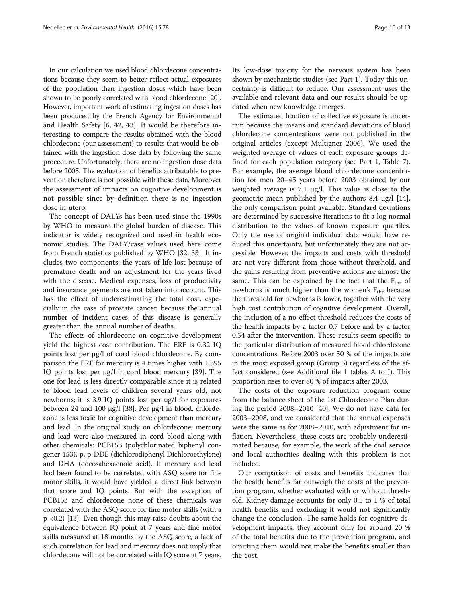In our calculation we used blood chlordecone concentrations because they seem to better reflect actual exposures of the population than ingestion doses which have been shown to be poorly correlated with blood chlordecone [\[20](#page-11-0)]. However, important work of estimating ingestion doses has been produced by the French Agency for Environmental and Health Safety [[6,](#page-11-0) [42, 43\]](#page-12-0). It would be therefore interesting to compare the results obtained with the blood chlordecone (our assessment) to results that would be obtained with the ingestion dose data by following the same procedure. Unfortunately, there are no ingestion dose data before 2005. The evaluation of benefits attributable to prevention therefore is not possible with these data. Moreover the assessment of impacts on cognitive development is not possible since by definition there is no ingestion dose in utero.

The concept of DALYs has been used since the 1990s by WHO to measure the global burden of disease. This indicator is widely recognized and used in health economic studies. The DALY/case values used here come from French statistics published by WHO [[32, 33\]](#page-11-0). It includes two components: the years of life lost because of premature death and an adjustment for the years lived with the disease. Medical expenses, loss of productivity and insurance payments are not taken into account. This has the effect of underestimating the total cost, especially in the case of prostate cancer, because the annual number of incident cases of this disease is generally greater than the annual number of deaths.

The effects of chlordecone on cognitive development yield the highest cost contribution. The ERF is 0.32 IQ points lost per μg/l of cord blood chlordecone. By comparison the ERF for mercury is 4 times higher with 1.395 IQ points lost per μg/l in cord blood mercury [[39](#page-12-0)]. The one for lead is less directly comparable since it is related to blood lead levels of children several years old, not newborns; it is 3.9 IQ points lost per ug/l for exposures between 24 and 100 μg/l [\[38\]](#page-11-0). Per μg/l in blood, chlordecone is less toxic for cognitive development than mercury and lead. In the original study on chlordecone, mercury and lead were also measured in cord blood along with other chemicals: PCB153 (polychlorinated biphenyl congener 153), p, p-DDE (dichlorodiphenyl Dichloroethylene) and DHA (docosahexaenoic acid). If mercury and lead had been found to be correlated with ASQ score for fine motor skills, it would have yielded a direct link between that score and IQ points. But with the exception of PCB153 and chlordecone none of these chemicals was correlated with the ASQ score for fine motor skills (with a p <0.2) [\[13\]](#page-11-0). Even though this may raise doubts about the equivalence between IQ point at 7 years and fine motor skills measured at 18 months by the ASQ score, a lack of such correlation for lead and mercury does not imply that chlordecone will not be correlated with IQ score at 7 years. Its low-dose toxicity for the nervous system has been shown by mechanistic studies (see Part 1). Today this uncertainty is difficult to reduce. Our assessment uses the available and relevant data and our results should be updated when new knowledge emerges.

The estimated fraction of collective exposure is uncertain because the means and standard deviations of blood chlordecone concentrations were not published in the original articles (except Multigner 2006). We used the weighted average of values of each exposure groups defined for each population category (see Part 1, Table 7). For example, the average blood chlordecone concentration for men 20–45 years before 2003 obtained by our weighted average is 7.1 μg/l. This value is close to the geometric mean published by the authors 8.4 μg/l  $[14]$  $[14]$ , the only comparison point available. Standard deviations are determined by successive iterations to fit a log normal distribution to the values of known exposure quartiles. Only the use of original individual data would have reduced this uncertainty, but unfortunately they are not accessible. However, the impacts and costs with threshold are not very different from those without threshold, and the gains resulting from preventive actions are almost the same. This can be explained by the fact that the  $F_{thr}$  of newborns is much higher than the women's  $F_{thr}$  because the threshold for newborns is lower, together with the very high cost contribution of cognitive development. Overall, the inclusion of a no-effect threshold reduces the costs of the health impacts by a factor 0.7 before and by a factor 0.54 after the intervention. These results seem specific to the particular distribution of measured blood chlordecone concentrations. Before 2003 over 50 % of the impacts are in the most exposed group (Group 5) regardless of the effect considered (see Additional file [1](#page-10-0) tables A to J). This proportion rises to over 80 % of impacts after 2003.

The costs of the exposure reduction program come from the balance sheet of the 1st Chlordecone Plan during the period 2008–2010 [[40\]](#page-12-0). We do not have data for 2003–2008, and we considered that the annual expenses were the same as for 2008–2010, with adjustment for inflation. Nevertheless, these costs are probably underestimated because, for example, the work of the civil service and local authorities dealing with this problem is not included.

Our comparison of costs and benefits indicates that the health benefits far outweigh the costs of the prevention program, whether evaluated with or without threshold. Kidney damage accounts for only 0.5 to 1 % of total health benefits and excluding it would not significantly change the conclusion. The same holds for cognitive development impacts: they account only for around 20 % of the total benefits due to the prevention program, and omitting them would not make the benefits smaller than the cost.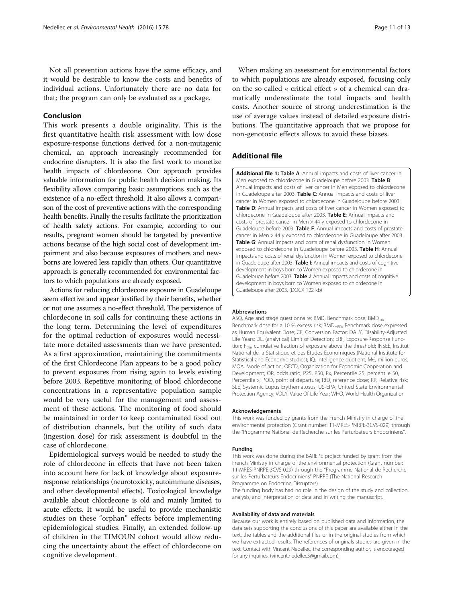<span id="page-10-0"></span>Not all prevention actions have the same efficacy, and it would be desirable to know the costs and benefits of individual actions. Unfortunately there are no data for that; the program can only be evaluated as a package.

#### Conclusion

This work presents a double originality. This is the first quantitative health risk assessment with low dose exposure-response functions derived for a non-mutagenic chemical, an approach increasingly recommended for endocrine disrupters. It is also the first work to monetize health impacts of chlordecone. Our approach provides valuable information for public health decision making. Its flexibility allows comparing basic assumptions such as the existence of a no-effect threshold. It also allows a comparison of the cost of preventive actions with the corresponding health benefits. Finally the results facilitate the prioritization of health safety actions. For example, according to our results, pregnant women should be targeted by preventive actions because of the high social cost of development impairment and also because exposures of mothers and newborns are lowered less rapidly than others. Our quantitative approach is generally recommended for environmental factors to which populations are already exposed.

Actions for reducing chlordecone exposure in Guadeloupe seem effective and appear justified by their benefits, whether or not one assumes a no-effect threshold. The persistence of chlordecone in soil calls for continuing these actions in the long term. Determining the level of expenditures for the optimal reduction of exposures would necessitate more detailed assessments than we have presented. As a first approximation, maintaining the commitments of the first Chlordecone Plan appears to be a good policy to prevent exposures from rising again to levels existing before 2003. Repetitive monitoring of blood chlordecone concentrations in a representative population sample would be very useful for the management and assessment of these actions. The monitoring of food should be maintained in order to keep contaminated food out of distribution channels, but the utility of such data (ingestion dose) for risk assessment is doubtful in the case of chlordecone.

Epidemiological surveys would be needed to study the role of chlordecone in effects that have not been taken into account here for lack of knowledge about exposureresponse relationships (neurotoxicity, autoimmune diseases, and other developmental effects). Toxicological knowledge available about chlordecone is old and mainly limited to acute effects. It would be useful to provide mechanistic studies on these "orphan" effects before implementing epidemiological studies. Finally, an extended follow-up of children in the TIMOUN cohort would allow reducing the uncertainty about the effect of chlordecone on cognitive development.

When making an assessment for environmental factors to which populations are already exposed, focusing only on the so called « critical effect » of a chemical can dramatically underestimate the total impacts and health costs. Another source of strong underestimation is the use of average values instead of detailed exposure distributions. The quantitative approach that we propose for non-genotoxic effects allows to avoid these biases.

### Additional file

[Additional file 1:](dx.doi.org/10.1186/s12940-016-0159-3) Table A: Annual impacts and costs of liver cancer in Men exposed to chlordecone in Guadeloupe before 2003. Table B: Annual impacts and costs of liver cancer in Men exposed to chlordecone in Guadeloupe after 2003. Table C: Annual impacts and costs of liver cancer in Women exposed to chlordecone in Guadeloupe before 2003. Table D: Annual impacts and costs of liver cancer in Women exposed to chlordecone in Guadeloupe after 2003. Table E: Annual impacts and costs of prostate cancer in Men > 44 y exposed to chlordecone in Guadeloupe before 2003. Table F: Annual impacts and costs of prostate cancer in Men > 44 y exposed to chlordecone in Guadeloupe after 2003. Table G: Annual impacts and costs of renal dysfunction in Women exposed to chlordecone in Guadeloupe before 2003. Table H: Annual impacts and costs of renal dysfunction in Women exposed to chlordecone in Guadeloupe after 2003. Table I: Annual impacts and costs of cognitive development in boys born to Women exposed to chlordecone in Guadeloupe before 2003. Table J: Annual impacts and costs of cognitive development in boys born to Women exposed to chlordecone in Guadeloupe after 2003. (DOCX 122 kb)

#### Abbreviations

ASQ, Age and stage questionnaire; BMD, Benchmark dose; BMD<sub>10</sub>, Benchmark dose for a 10 % excess risk; BMD<sub>HED</sub>, Benchmark dose expressed as Human Equivalent Dose; CF, Conversion Factor; DALY, Disability-Adjusted Life Years; DL, (analytical) Limit of Detection; ERF, Exposure-Response Function; F<sub>thr</sub>, cumulative fraction of exposure above the threshold; INSEE, Institut National de la Statistique et des Etudes Economiques (National Institute for Statistical and Economic studies); IQ, intelligence quotient; M€, million euros; MOA, Mode of action; OECD, Organization for Economic Cooperation and Development; OR, odds ratio; P25, P50, Px, Percentile 25, percentile 50, Percentile x; POD, point of departure; RfD, reference dose; RR, Relative risk; SLE, Systemic Lupus Erythematosus; US-EPA, United State Environmental Protection Agency; VOLY, Value Of Life Year; WHO, World Health Organization

#### Acknowledgements

This work was funded by grants from the French Ministry in charge of the environmental protection (Grant number: 11-MRES-PNRPE-3CVS-029) through the "Programme National de Recherche sur les Perturbateurs Endocriniens".

#### Funding

This work was done during the BAREPE project funded by grant from the French Ministry in charge of the environmental protection (Grant number: 11-MRES-PNRPE-3CVS-029) through the "Programme National de Recherche sur les Perturbateurs Endocriniens" PNRPE (The National Research Programme on Endocrine Disruptors).

The funding body has had no role in the design of the study and collection, analysis, and interpretation of data and in writing the manuscript.

#### Availability of data and materials

Because our work is entirely based on published data and information, the data sets supporting the conclusions of this paper are available either in the text, the tables and the additional files or in the original studies from which we have extracted results. The references of originals studies are given in the text. Contact with Vincent Nedellec, the corresponding author, is encouraged for any inquiries. (vincent.nedellec3@gmail.com).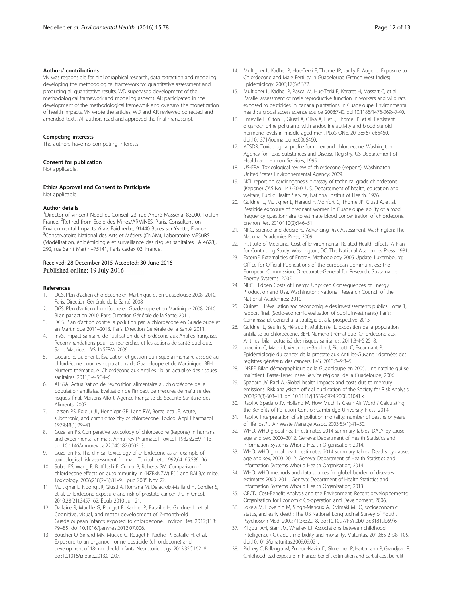#### <span id="page-11-0"></span>Authors' contributions

VN was responsible for bibliographical research, data extraction and modeling, developing the methodological framework for quantitative assessment and producing all quantitative results. WD supervised development of the methodological framework and modeling aspects. AR participated in the development of the methodological framework and oversaw the monetization of health impacts. VN wrote the articles, WD and AR reviewed corrected and amended texts. All authors read and approved the final manuscript.

#### Competing interests

The authors have no competing interests.

#### Consent for publication

Not applicable.

#### Ethics Approval and Consent to Participate

Not applicable.

#### Author details

<sup>1</sup>Director of Vincent Nedellec Conseil, 23, rue André Masséna-83000, Toulon, France. <sup>2</sup>Retired from Ecole des Mines/ARMINES, Paris, Consultant on Environmental Impacts, 6 av. Faidherbe, 91440 Bures sur Yvette, France. <sup>3</sup>Conservatoire National des Arts et Métiers (CNAM), Laboratoire MESuRS (Modélisation, épidémiologie et surveillance des risques sanitaires EA 4628), 292, rue Saint Martin–75141, Paris cedex 03, France.

#### Received: 28 December 2015 Accepted: 30 June 2016 Published online: 19 July 2016

#### References

- 1. DGS. Plan d'action chlordécone en Martinique et en Guadeloupe 2008–2010. Paris: Direction Générale de la Santé; 2008.
- 2. DGS. Plan d'action chlordécone en Guadeloupe et en Martinique 2008–2010. Bilan par action 2010. Paris: Direction Générale de la Santé; 2011.
- 3. DGS. Plan d'action contre la pollution par la chlordécone en Guadeloupe et en Martinique 2011–2013. Paris: Direction Générale de la Santé; 2011.
- 4. InVS. Impact sanitaire de l'utilisation du chlordécone aux Antilles françaises Recommandations pour les recherches et les actions de santé publique. Saint Maurice: InVS, INSERM; 2009.
- 5. Godard E, Guldner L. Évaluation et gestion du risque alimentaire associé au chlordécone pour les populations de Guadeloupe et de Martinique. BEH. Numéro thématique–Chlordécone aux Antilles : bilan actualisé des risques sanitaires. 2011;3-4-5:34–6.
- 6. AFSSA. Actualisation de l'exposition alimentaire au chlordécone de la population antillaise. Evaluation de l'impact de mesures de maîtrise des risques. final. Maisons-Alfort: Agence Française de Sécurité Sanitaire des Aliments; 2007.
- 7. Larson PS, Egle Jr JL, Hennigar GR, Lane RW, Borzelleca JF. Acute, subchronic, and chronic toxicity of chlordecone. Toxicol Appl Pharmacol. 1979;48(1):29–41.
- Guzelian PS. Comparative toxicology of chlordecone (Kepone) in humans and experimental animals. Annu Rev Pharmacol Toxicol. 1982;22:89–113. doi:[10.1146/annurev.pa.22.040182.000513.](http://dx.doi.org/10.1146/annurev.pa.22.040182.000513)
- Guzelian PS. The clinical toxicology of chlordecone as an example of toxicological risk assessment for man. Toxicol Lett. 1992;64–65:589–96.
- 10. Sobel ES, Wang F, Butfiloski E, Croker B, Roberts SM. Comparison of chlordecone effects on autoimmunity in (NZBxNZW) F(1) and BALB/c mice. Toxicology. 2006;218(2–3):81–9. Epub 2005 Nov 22.
- 11. Multigner L, Ndong JR, Giusti A, Romana M, Delacroix-Maillard H, Cordier S, et al. Chlordecone exposure and risk of prostate cancer. J Clin Oncol. 2010;28(21):3457–62. Epub 2010 Jun 21.
- 12. Dallaire R, Muckle G, Rouget F, Kadhel P, Bataille H, Guldner L, et al. Cognitive, visual, and motor development of 7-month-old Guadeloupean infants exposed to chlordecone. Environ Res. 2012;118: 79–85. doi[:10.1016/j.envres.2012.07.006](http://dx.doi.org/10.1016/j.envres.2012.07.006).
- 13. Boucher O, Simard MN, Muckle G, Rouget F, Kadhel P, Bataille H, et al. Exposure to an organochlorine pesticide (chlordecone) and development of 18-month-old infants. Neurotoxicology. 2013;35C:162–8. doi:[10.1016/j.neuro.2013.01.007.](http://dx.doi.org/10.1016/j.neuro.2013.01.007)
- 14. Multigner L, Kadhel P, Huc-Terki F, Thome JP, Janky E, Auger J. Exposure to Chlordecone and Male Fertility in Guadeloupe (French West Indies). Epidemiology. 2006;17(6):S372.
- 15. Multigner L, Kadhel P, Pascal M, Huc-Terki F, Kercret H, Massart C, et al. Parallel assessment of male reproductive function in workers and wild rats exposed to pesticides in banana plantations in Guadeloupe. Environmental health: a global access science source. 2008;7:40. doi:[10.1186/1476-069x-7-40](http://dx.doi.org/10.1186/1476-069x-7-40).
- 16. Emeville E, Giton F, Giusti A, Oliva A, Fiet J, Thome JP, et al. Persistent organochlorine pollutants with endocrine activity and blood steroid hormone levels in middle-aged men. PLoS ONE. 2013;8(6), e66460. doi[:10.1371/journal.pone.0066460.](http://dx.doi.org/10.1371/journal.pone.0066460)
- 17. ATSDR. Toxicological profile for mirex and chlordecone. Washington: Agency for Toxic Substances and Disease Registry. US Departement of Health and Human Services; 1995.
- 18. US-EPA. Toxicological review of chlordecone (Kepone). Washington: United States Environnemental Agency; 2009.
- 19. NCI. report on carcinogenesis bioassay of technical grade chlordecone (Kepone) CAS No. 143-50-0: U.S. Departement of health, education and welfare, Public Health Service, National Institut of Health. 1976.
- 20. Guldner L, Multigner L, Heraud F, Monfort C, Thome JP, Giusti A, et al. Pesticide exposure of pregnant women in Guadeloupe: ability of a food frequency questionnaire to estimate blood concentration of chlordecone. Environ Res. 2010;110(2):146–51.
- 21. NRC. Science and decisions. Advancing Risk Assessment. Washington: The National Academies Press; 2009.
- 22. Institute of Medicine. Cost of Environmental-Related Health Effects: A Plan for Continuing Study. Washington, DC: The National Academies Press; 1981.
- 23. ExternE. Externalities of Energy. Methodology 2005 Update. Luxembourg: Office for Official Publications of the European Communities.: the European Commission, Directorate-General for Research, Sustainable Energy Systems. 2005.
- 24. NRC. Hidden Costs of Energy. Unpriced Consequences of Energy Production and Use. Washington: National Research Council of the National Academies; 2010.
- 25. Quinet E. L'évaluation socioéconomique des investissements publics. Tome 1, rapport final. (Socio-economic evaluation of public investments). Paris: Commissariat Général à la stratégie et à la prospective; 2013.
- 26. Guldner L, Seurin S, Héraud F, Multignier L. Exposition de la population antillaise au chlordécone. BEH. Numéro thématique–Chlordécone aux Antilles: bilan actualisé des risques sanitaires. 2011;3-4-5:25–8.
- 27. Joachim C, Macni J, Véronique-Baudin J, Piccotti C, Escarmant P. Epidémiologie du cancer de la prostate aux Antilles-Guyane : données des registres généraux des cancers. BVS. 2013;8–9:3–5.
- 28. INSEE. Bilan démographique de la Guadeloupe en 2005. Une natalité qui se maintient. Basse-Terre: Insee Service régional de la Guadeloupe; 2006.
- 29. Spadaro JV, Rabl A. Global health impacts and costs due to mercury emissions. Risk analysis:an official publication of the Society for Risk Analysis. 2008;28(3):603–13. doi:[10.1111/j.1539-6924.2008.01041.x](http://dx.doi.org/10.1111/j.1539-6924.2008.01041.x).
- 30. Rabl A, Spadaro JV, Holland M. How Much is Clean Air Worth? Calculating the Benefits of Pollution Control: Cambridge University Press; 2014.
- 31. Rabl A. Interpretation of air pollution mortality: number of deaths or years of life lost? J Air Waste Manage Assoc. 2003;53(1):41–50.
- 32. WHO. WHO global health estimates 2014 summary tables: DALY by cause, age and sex, 2000–2012. Geneva: Department of Health Statistics and Information Systems Whorld Health Organisation; 2014.
- 33. WHO. WHO global health estimates 2014 summary tables: Deaths by cause, age and sex, 2000–2012. Geneva: Department of Health Statistics and Information Systems Whorld Health Organisation; 2014.
- 34. WHO. WHO methods and data sources for global burden of diseases estimates 2000–2011. Geneva: Department of Health Statistics and Information Systems Whorld Health Organisation; 2013.
- 35. OECD. Cost-Benefit Analysis and the Environment. Recent developpements: Organisation for Economic Co-operation and Development. 2006.
- 36. Jokela M, Elovainio M, Singh-Manoux A, Kivimaki M. IQ, socioeconomic status, and early death: The US National Longitudinal Survey of Youth. Psychosom Med. 2009;71(3):322–8. doi:[10.1097/PSY.0b013e31819b69f6](http://dx.doi.org/10.1097/PSY.0b013e31819b69f6).
- 37. Kilgour AH, Starr JM, Whalley LJ. Associations between childhood intelligence (IQ), adult morbidity and mortality. Maturitas. 2010;65(2):98–105. doi[:10.1016/j.maturitas.2009.09.021](http://dx.doi.org/10.1016/j.maturitas.2009.09.021).
- 38. Pichery C, Bellanger M, Zmirou-Navier D, Glorennec P, Hartemann P, Grandjean P. Childhood lead exposure in France: benefit estimation and partial cost-benefit